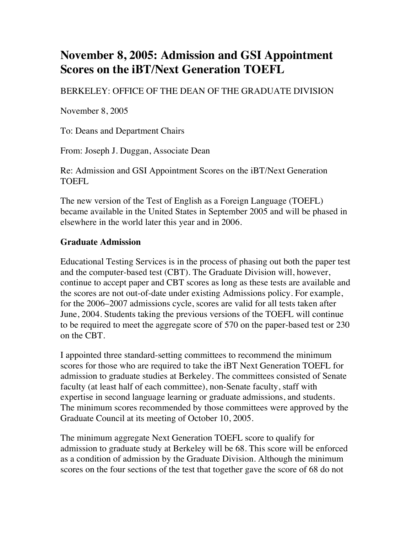## **November 8, 2005: Admission and GSI Appointment Scores on the iBT/Next Generation TOEFL**

BERKELEY: OFFICE OF THE DEAN OF THE GRADUATE DIVISION

November 8, 2005

To: Deans and Department Chairs

From: Joseph J. Duggan, Associate Dean

Re: Admission and GSI Appointment Scores on the iBT/Next Generation TOEFL

The new version of the Test of English as a Foreign Language (TOEFL) became available in the United States in September 2005 and will be phased in elsewhere in the world later this year and in 2006.

## **Graduate Admission**

Educational Testing Services is in the process of phasing out both the paper test and the computer-based test (CBT). The Graduate Division will, however, continue to accept paper and CBT scores as long as these tests are available and the scores are not out-of-date under existing Admissions policy. For example, for the 2006–2007 admissions cycle, scores are valid for all tests taken after June, 2004. Students taking the previous versions of the TOEFL will continue to be required to meet the aggregate score of 570 on the paper-based test or 230 on the CBT.

I appointed three standard-setting committees to recommend the minimum scores for those who are required to take the iBT Next Generation TOEFL for admission to graduate studies at Berkeley. The committees consisted of Senate faculty (at least half of each committee), non-Senate faculty, staff with expertise in second language learning or graduate admissions, and students. The minimum scores recommended by those committees were approved by the Graduate Council at its meeting of October 10, 2005.

The minimum aggregate Next Generation TOEFL score to qualify for admission to graduate study at Berkeley will be 68. This score will be enforced as a condition of admission by the Graduate Division. Although the minimum scores on the four sections of the test that together gave the score of 68 do not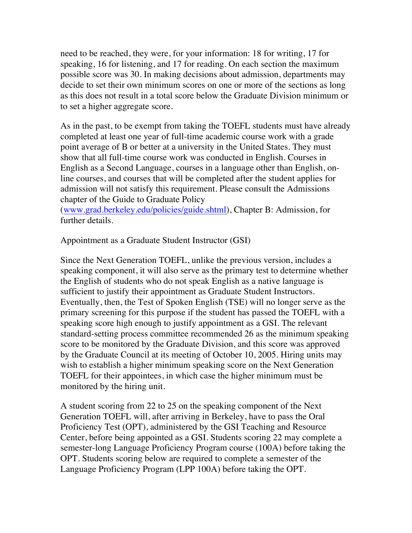need to be reached, they were, for your information: 18 for writing, 17 for speaking, 16 for listening, and 17 for reading. On each section the maximum possible score was 30. In making decisions about admission, departments may decide to set their own minimum scores on one or more of the sections as long as this does not result in a total score below the Graduate Division minimum or to set a higher aggregate score.

As in the past, to be exempt from taking the TOEFL students must have already completed at least one year of full-time academic course work with a grade point average of B or better at a university in the United States. They must show that all full-time course work was conducted in English. Courses in English as a Second Language, courses in a language other than English, online courses, and courses that will be completed after the student applies for admission will not satisfy this requirement. Please consult the Admissions chapter of the Guide to Graduate Policy

(www.grad.berkeley.edu/policies/guide.shtml), Chapter B: Admission, for further details.

Appointment as a Graduate Student Instructor (GSI)

Since the Next Generation TOEFL, unlike the previous version, includes a speaking component, it will also serve as the primary test to determine whether the English of students who do not speak English as a native language is sufficient to justify their appointment as Graduate Student Instructors. Eventually, then, the Test of Spoken English (TSE) will no longer serve as the primary screening for this purpose if the student has passed the TOEFL with a speaking score high enough to justify appointment as a GSI. The relevant standard-setting process committee recommended 26 as the minimum speaking score to be monitored by the Graduate Division, and this score was approved by the Graduate Council at its meeting of October 10, 2005. Hiring units may wish to establish a higher minimum speaking score on the Next Generation TOEFL for their appointees, in which case the higher minimum must be monitored by the hiring unit.

A student scoring from 22 to 25 on the speaking component of the Next Generation TOEFL will, after arriving in Berkeley, have to pass the Oral Proficiency Test (OPT), administered by the GSI Teaching and Resource Center, before being appointed as a GSI. Students scoring 22 may complete a semester-long Language Proficiency Program course (100A) before taking the OPT. Students scoring below are required to complete a semester of the Language Proficiency Program (LPP 100A) before taking the OPT.